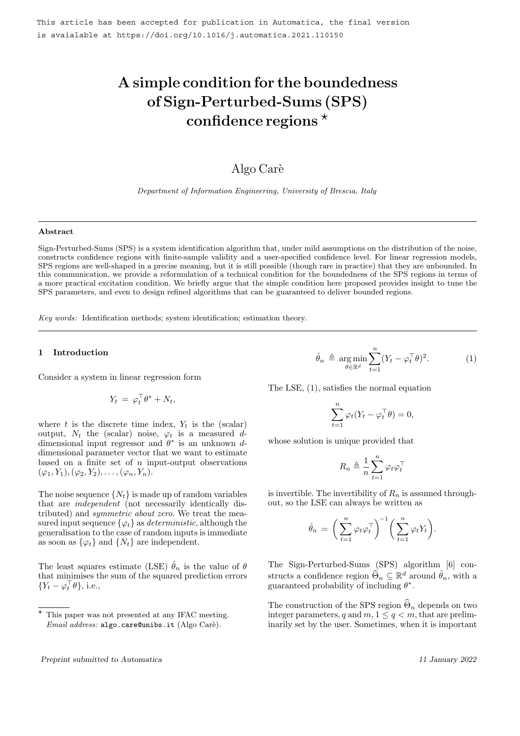# A simple condition for the boundedness of Sign-Perturbed-Sums (SPS) confidence regions  $\star$

# Algo Carè

Department of Information Engineering, University of Brescia, Italy

#### Abstract

Sign-Perturbed-Sums (SPS) is a system identification algorithm that, under mild assumptions on the distribution of the noise, constructs confidence regions with finite-sample validity and a user-specified confidence level. For linear regression models, SPS regions are well-shaped in a precise meaning, but it is still possible (though rare in practice) that they are unbounded. In this communication, we provide a reformulation of a technical condition for the boundedness of the SPS regions in terms of a more practical excitation condition. We briefly argue that the simple condition here proposed provides insight to tune the SPS parameters, and even to design refined algorithms that can be guaranteed to deliver bounded regions.

Key words: Identification methods; system identification; estimation theory.

#### 1 Introduction

Consider a system in linear regression form

$$
Y_t = \varphi_t^\top \theta^* + N_t,
$$

where t is the discrete time index,  $Y_t$  is the (scalar) output,  $N_t$  the (scalar) noise,  $\varphi_t$  is a measured ddimensional input regressor and  $\theta^*$  is an unknown ddimensional parameter vector that we want to estimate based on a finite set of  $n$  input-output observations  $(\varphi_1, Y_1), (\varphi_2, Y_2), \ldots, (\varphi_n, Y_n).$ 

The noise sequence  $\{N_t\}$  is made up of random variables that are independent (not necessarily identically distributed) and symmetric about zero. We treat the measured input sequence  $\{\varphi_t\}$  as *deterministic*, although the generalisation to the case of random inputs is immediate as soon as  $\{\varphi_t\}$  and  $\{N_t\}$  are independent.

The least squares estimate (LSE)  $\hat{\theta}_n$  is the value of  $\theta$ that minimises the sum of the squared prediction errors  ${Y_t - \varphi_t^{\top} \theta}, \text{ i.e.,}$ 

 $\hat{\theta}_n \triangleq \argmin_{\theta \in \mathbb{R}^d}$  $\sum_{n=1}^{\infty}$  $t=1$  $(Y_t - \varphi_t^\top \theta)^2$  $(1)$ 

The LSE, (1), satisfies the normal equation

$$
\sum_{t=1}^{n} \varphi_t (Y_t - \varphi_t^{\top} \theta) = 0,
$$

whose solution is unique provided that

$$
R_n \triangleq \frac{1}{n} \sum_{t=1}^n \varphi_t \varphi_t^\top
$$

is invertible. The invertibility of  $R_n$  is assumed throughout, so the LSE can always be written as

$$
\hat{\theta}_n = \bigg(\sum_{t=1}^n \varphi_t \varphi_t^\top \bigg)^{-1} \bigg(\sum_{t=1}^n \varphi_t Y_t \bigg).
$$

The Sign-Perturbed-Sums (SPS) algorithm [6] constructs a confidence region  $\widehat{\Theta}_n \subseteq \mathbb{R}^d$  around  $\widehat{\theta}_n$ , with a guaranteed probability of including  $\theta^*$ .

The construction of the SPS region  $\Theta_n$  depends on two integer parameters, q and  $m, 1 \leq q < m$ , that are preliminarily set by the user. Sometimes, when it is important

This paper was not presented at any IFAC meeting.  $Email address: \texttt{algo.care@unibs.it}$  (Algo Carè).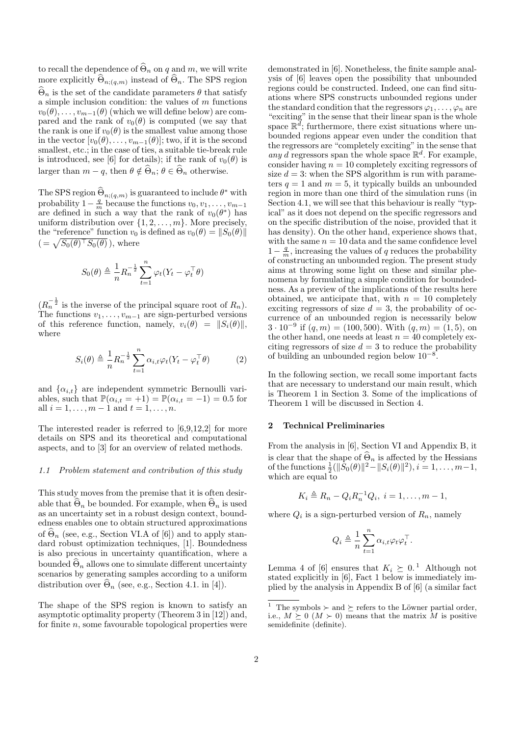to recall the dependence of  $\widehat{\Theta}_n$  on q and m, we will write more explicitly  $\Theta_{n;(q,m)}$  instead of  $\Theta_n$ . The SPS region  $\widehat{\Theta}_n$  is the set of the candidate parameters  $\theta$  that satisfy a simple inclusion condition: the values of  $m$  functions  $v_0(\theta), \ldots, v_{m-1}(\theta)$  (which we will define below) are compared and the rank of  $v_0(\theta)$  is computed (we say that the rank is one if  $v_0(\theta)$  is the smallest value among those in the vector  $[v_0(\theta), \ldots, v_{m-1}(\theta)]$ ; two, if it is the second smallest, etc.; in the case of ties, a suitable tie-break rule is introduced, see [6] for details); if the rank of  $v_0(\theta)$  is larger than  $m - q$ , then  $\theta \notin \widehat{\Theta}_n$ ;  $\theta \in \widehat{\Theta}_n$  otherwise.

The SPS region  $\widehat{\Theta}_{n;(q,m)}$  is guaranteed to include  $\theta^*$  with probability  $1-\frac{q}{m}$  because the functions  $v_0, v_1, \ldots, v_{m-1}$ are defined in such a way that the rank of  $v_0(\theta^*)$  has uniform distribution over  $\{1, 2, \ldots, m\}$ . More precisely, the "reference" function  $v_0$  is defined as  $v_0(\theta) = ||S_0(\theta)||$  $( = \sqrt{S_0(\theta)^\top S_0(\theta)}$ , where

$$
S_0(\theta) \triangleq \frac{1}{n} R_n^{-\frac{1}{2}} \sum_{t=1}^n \varphi_t (Y_t - \varphi_t^\top \theta)
$$

 $(R_n^{-\frac{1}{2}})$  is the inverse of the principal square root of  $R_n$ ). The functions  $v_1, \ldots, v_{m-1}$  are sign-perturbed versions of this reference function, namely,  $v_i(\theta) = ||S_i(\theta)||$ , where

$$
S_i(\theta) \triangleq \frac{1}{n} R_n^{-\frac{1}{2}} \sum_{t=1}^n \alpha_{i,t} \varphi_t (Y_t - \varphi_t^\top \theta) \tag{2}
$$

and  $\{\alpha_{i,t}\}\$ are independent symmetric Bernoulli variables, such that  $\mathbb{P}(\alpha_{i,t} = +1) = \mathbb{P}(\alpha_{i,t} = -1) = 0.5$  for all  $i = 1, ..., m - 1$  and  $t = 1, ..., n$ .

The interested reader is referred to [6,9,12,2] for more details on SPS and its theoretical and computational aspects, and to [3] for an overview of related methods.

#### 1.1 Problem statement and contribution of this study

This study moves from the premise that it is often desirable that  $\widehat{\Theta}_n$  be bounded. For example, when  $\widehat{\Theta}_n$  is used as an uncertainty set in a robust design context, boundedness enables one to obtain structured approximations of  $\widehat{\Theta}_n$  (see, e.g., Section VI.A of [6]) and to apply standard robust optimization techniques, [1]. Boundedness is also precious in uncertainty quantification, where a bounded  $\widehat{\Theta}_n$  allows one to simulate different uncertainty scenarios by generating samples according to a uniform distribution over  $\widehat{\Theta}_n$  (see, e.g., Section 4.1. in [4]).

The shape of the SPS region is known to satisfy an asymptotic optimality property (Theorem 3 in [12]) and, for finite n, some favourable topological properties were demonstrated in [6]. Nonetheless, the finite sample analysis of [6] leaves open the possibility that unbounded regions could be constructed. Indeed, one can find situations where SPS constructs unbounded regions under the standard condition that the regressors  $\varphi_1, \ldots, \varphi_n$  are "exciting" in the sense that their linear span is the whole space  $\mathbb{R}^d$ ; furthermore, there exist situations where unbounded regions appear even under the condition that the regressors are "completely exciting" in the sense that any d regressors span the whole space  $\mathbb{R}^d$ . For example, consider having  $n = 10$  completely exciting regressors of size  $d = 3$ : when the SPS algorithm is run with parameters  $q = 1$  and  $m = 5$ , it typically builds an unbounded region in more than one third of the simulation runs (in Section 4.1, we will see that this behaviour is really "typical" as it does not depend on the specific regressors and on the specific distribution of the noise, provided that it has density). On the other hand, experience shows that, with the same  $n = 10$  data and the same confidence level  $1 - \frac{q}{m}$ , increasing the values of q reduces the probability of constructing an unbounded region. The present study aims at throwing some light on these and similar phenomena by formulating a simple condition for boundedness. As a preview of the implications of the results here obtained, we anticipate that, with  $n = 10$  completely exciting regressors of size  $d = 3$ , the probability of occurrence of an unbounded region is necessarily below  $3 \cdot 10^{-9}$  if  $(q,m) = (100, 500)$ . With  $(q,m) = (1, 5)$ , on the other hand, one needs at least  $n = 40$  completely exciting regressors of size  $d = 3$  to reduce the probability of building an unbounded region below  $10^{-8}$ .

In the following section, we recall some important facts that are necessary to understand our main result, which is Theorem 1 in Section 3. Some of the implications of Theorem 1 will be discussed in Section 4.

#### 2 Technical Preliminaries

From the analysis in [6], Section VI and Appendix B, it is clear that the shape of  $\widehat{\Theta}_n$  is affected by the Hessians of the functions  $\frac{1}{2}(\|\bar{S}_0(\theta)\|^2 - \|S_i(\theta)\|^2), i = 1, \ldots, m-1,$ which are equal to

$$
K_i \triangleq R_n - Q_i R_n^{-1} Q_i, \ i = 1, \dots, m-1,
$$

where  $Q_i$  is a sign-perturbed version of  $R_n$ , namely

$$
Q_i \triangleq \frac{1}{n} \sum_{t=1}^n \alpha_{i,t} \varphi_t \varphi_t^\top.
$$

Lemma 4 of [6] ensures that  $K_i \succeq 0$ .<sup>1</sup> Although not stated explicitly in [6], Fact 1 below is immediately implied by the analysis in Appendix B of [6] (a similar fact

 $^1\;$  The symbols  $\succ$  and  $\succeq$  refers to the Löwner partial order, i.e.,  $M \succeq 0$  ( $M \succ 0$ ) means that the matrix M is positive semidefinite (definite).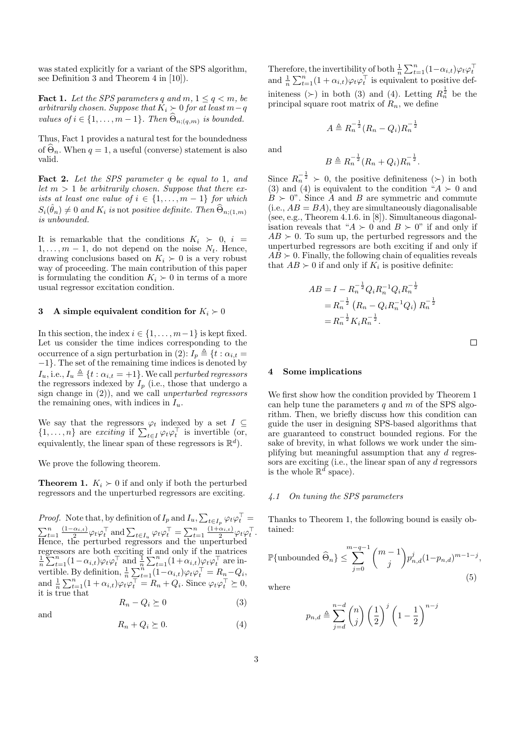was stated explicitly for a variant of the SPS algorithm, see Definition 3 and Theorem 4 in [10]).

**Fact 1.** Let the SPS parameters q and  $m, 1 \le q < m$ , be arbitrarily chosen. Suppose that  $K_i$  ≻ 0 for at least  $m-q$ values of  $i \in \{1, \ldots, m-1\}$ . Then  $\Theta_{n; (q,m)}$  is bounded.

Thus, Fact 1 provides a natural test for the boundedness of  $\Theta_n$ . When  $q = 1$ , a useful (converse) statement is also valid.

Fact 2. Let the SPS parameter q be equal to 1, and let  $m > 1$  be arbitrarily chosen. Suppose that there exists at least one value of  $i \in \{1, \ldots, m-1\}$  for which  $S_i(\hat{\theta}_n) \neq 0$  and  $K_i$  is not positive definite. Then  $\widehat{\Theta}_{n;(1,m)}$ is unbounded.

It is remarkable that the conditions  $K_i > 0$ ,  $i =$  $1, \ldots, m-1$ , do not depend on the noise  $N_t$ . Hence, drawing conclusions based on  $K_i \succ 0$  is a very robust way of proceeding. The main contribution of this paper is formulating the condition  $K_i \succ 0$  in terms of a more usual regressor excitation condition.

#### 3 A simple equivalent condition for  $K_i \succ 0$

In this section, the index  $i \in \{1, \ldots, m-1\}$  is kept fixed. Let us consider the time indices corresponding to the occurrence of a sign perturbation in (2):  $I_p \triangleq \{t : \alpha_{i,t} =$ −1}. The set of the remaining time indices is denoted by  $I_u$ , i.e.,  $I_u \triangleq \{t : \alpha_{i,t} = +1\}$ . We call perturbed regressors the regressors indexed by  $I_p$  (i.e., those that undergo a sign change in (2)), and we call unperturbed regressors the remaining ones, with indices in  $I_u$ .

We say that the regressors  $\varphi_t$  indexed by a set  $I \subseteq$  $\{1,\ldots,n\}$  are exciting if  $\sum_{t\in I} \varphi_t \varphi_t^\top$  is invertible (or, equivalently, the linear span of these regressors is  $\mathbb{R}^d$ .

We prove the following theorem.

**Theorem 1.**  $K_i \succ 0$  if and only if both the perturbed regressors and the unperturbed regressors are exciting.

*Proof.* Note that, by definition of  $I_p$  and  $I_u$ ,  $\sum_{t\in I_p} \varphi_t \varphi_t^\top =$  $\sum_{t=1}^{n} \frac{(1-\alpha_{i,t})}{2}$  $\frac{\alpha_{i,t}}{2} \varphi_t \varphi_t^\top$  and  $\sum_{t \in I_u} \varphi_t \varphi_t^\top = \sum_{t=1}^n \frac{(1+\alpha_{i,t})}{2}$  $\frac{\alpha_{i,t})}{2}\varphi_t\varphi_t^{\top}.$ Hence, the perturbed regressors and the unperturbed regressors are both exciting if and only if the matrices  $\frac{1}{n} \sum_{t=1}^{n} (1 - \alpha_{i,t}) \varphi_t \varphi_t^{\top}$  and  $\frac{1}{n} \sum_{t=1}^{n} (1 + \alpha_{i,t}) \varphi_t \varphi_t^{\top}$  are invertible. By definition,  $\frac{1}{n} \sum_{t=1}^{n} (1 - \alpha_{i,t}) \varphi_t \varphi_t^{\top} = R_n - Q_i$ , and  $\frac{1}{n} \sum_{t=1}^{n} (1 + \alpha_{i,t}) \varphi_t \varphi_t^{\top} = R_n + Q_i$ . Since  $\varphi_t \varphi_t^{\top} \succeq 0$ , it is true that

$$
R_n - Q_i \succeq 0 \tag{3}
$$

and

$$
R_n + Q_i \succeq 0. \tag{4}
$$

Therefore, the invertibility of both  $\frac{1}{n} \sum_{t=1}^{n} (1 - \alpha_{i,t}) \varphi_t \varphi_t^{\top}$ <br>and  $\frac{1}{n} \sum_{t=1}^{n} (1 + \alpha_{i,t}) \varphi_t \varphi_t^{\top}$  is equivalent to positive definiteness (>) in both (3) and (4). Letting  $R_n^{\frac{1}{2}}$  be the principal square root matrix of  $R_n$ , we define

$$
A \triangleq R_n^{-\frac{1}{2}} (R_n - Q_i) R_n^{-\frac{1}{2}}
$$

and

$$
B \triangleq R_n^{-\frac{1}{2}} (R_n + Q_i) R_n^{-\frac{1}{2}}.
$$

Since  $R_n^{-\frac{1}{2}} \succ 0$ , the positive definiteness  $(\succ)$  in both (3) and (4) is equivalent to the condition " $A \succ 0$  and  $B \succ 0$ ". Since A and B are symmetric and commute  $(i.e., AB = BA)$ , they are simultaneously diagonalisable (see, e.g., Theorem 4.1.6. in [8]). Simultaneous diagonalisation reveals that " $A \succ 0$  and  $B \succ 0$ " if and only if  $AB \succ 0$ . To sum up, the perturbed regressors and the unperturbed regressors are both exciting if and only if  $AB \succ 0$ . Finally, the following chain of equalities reveals that  $AB \succ 0$  if and only if  $K_i$  is positive definite:

$$
AB = I - R_n^{-\frac{1}{2}} Q_i R_n^{-1} Q_i R_n^{-\frac{1}{2}}
$$
  
=  $R_n^{-\frac{1}{2}} (R_n - Q_i R_n^{-1} Q_i) R_n^{-\frac{1}{2}}$   
=  $R_n^{-\frac{1}{2}} K_i R_n^{-\frac{1}{2}}$ .

 $\Box$ 

#### Some implications

We first show how the condition provided by Theorem 1 can help tune the parameters q and  $m$  of the SPS algorithm. Then, we briefly discuss how this condition can guide the user in designing SPS-based algorithms that are guaranteed to construct bounded regions. For the sake of brevity, in what follows we work under the simplifying but meaningful assumption that any d regressors are exciting (i.e., the linear span of any d regressors is the whole  $\mathbb{R}^d$  space).

#### 4.1 On tuning the SPS parameters

Thanks to Theorem 1, the following bound is easily obtained:

$$
\mathbb{P}\{\text{unbounded } \widehat{\Theta}_n\} \le \sum_{j=0}^{m-q-1} \binom{m-1}{j} p_{n,d}^j (1-p_{n,d})^{m-1-j},\tag{5}
$$

where

$$
p_{n,d} \triangleq \sum_{j=d}^{n-d} \binom{n}{j} \left(\frac{1}{2}\right)^j \left(1 - \frac{1}{2}\right)^{n-j}
$$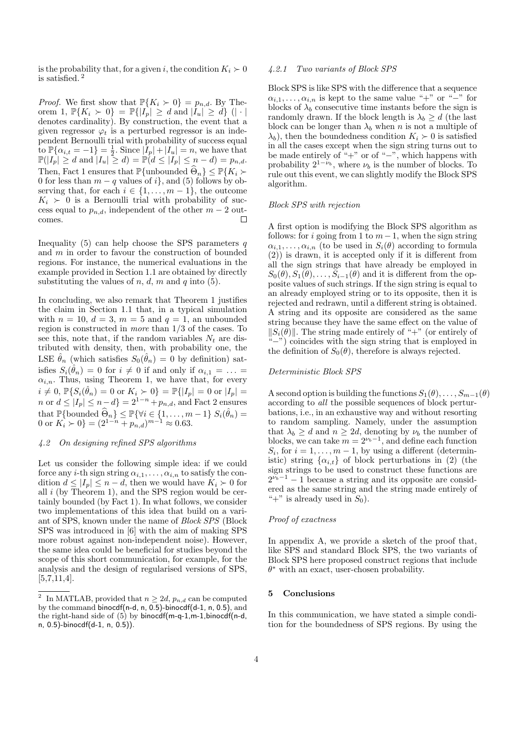is the probability that, for a given i, the condition  $K_i \succ 0$ is satisfied. <sup>2</sup>

*Proof.* We first show that  $\mathbb{P}\{K_i \succ 0\} = p_{n,d}$ . By Theorem 1,  $\mathbb{P}\{K_i \succ 0\} = \mathbb{P}\{|I_p| \geq d \text{ and } |I_u| \geq d\}$  (| · | denotes cardinality). By construction, the event that a given regressor  $\varphi_t$  is a perturbed regressor is an independent Bernoulli trial with probability of success equal to  $\mathbb{P}\{\alpha_{i,t} = -1\} = \frac{1}{2}$ . Since  $|I_p| + |I_u| = n$ , we have that  $\mathbb{P}(|I_p| \geq d \text{ and } |I_u| \geq d) = \mathbb{P}(d \leq |I_p| \leq n-d) = p_{n,d}.$ Then, Fact 1 ensures that  $\mathbb{P}\{\text{unbounded }\widehat{\Theta}_n\}\leq \mathbb{P}\{K_i \succ$ 0 for less than  $m - q$  values of i}, and (5) follows by observing that, for each  $i \in \{1, \ldots, m-1\}$ , the outcome  $K_i > 0$  is a Bernoulli trial with probability of success equal to  $p_{n,d}$ , independent of the other  $m-2$  out- $\Box$ comes.

Inequality (5) can help choose the SPS parameters  $q$ and  $m$  in order to favour the construction of bounded regions. For instance, the numerical evaluations in the example provided in Section 1.1 are obtained by directly substituting the values of  $n, d, m$  and  $q$  into (5).

In concluding, we also remark that Theorem 1 justifies the claim in Section 1.1 that, in a typical simulation with  $n = 10$ ,  $d = 3$ ,  $m = 5$  and  $q = 1$ , an unbounded region is constructed in more than 1/3 of the cases. To see this, note that, if the random variables  $N_t$  are distributed with density, then, with probability one, the LSE  $\hat{\theta}_n$  (which satisfies  $S_0(\hat{\theta}_n) = 0$  by definition) satisfies  $S_i(\hat{\theta}_n) = 0$  for  $i \neq 0$  if and only if  $\alpha_{i,1} = \ldots =$  $\alpha_{i,n}$ . Thus, using Theorem 1, we have that, for every  $i \neq 0, \, \mathbb{P} \{ S_i(\hat{\theta}_n) = 0 \text{ or } K_i \succ 0 \} = \mathbb{P} \{ |I_p| = 0 \text{ or } |I_p| = 0 \}$ n or  $d \leq |I_p| \leq n-d$  =  $2^{1-n} + p_{n,d}$ , and Fact 2 ensures that  $\mathbb{P}\{\text{bounded } \widehat{\Theta}_n\} \leq \mathbb{P}\{\forall i \in \{1, \ldots, m-1\} \ S_i(\widehat{\theta}_n) =$ 0 or  $K_i > 0$ } =  $(2^{1-n} + p_{n,d})^{m-1} \approx 0.63$ .

## 4.2 On designing refined SPS algorithms

Let us consider the following simple idea: if we could force any *i*-th sign string  $\alpha_{i,1}, \ldots, \alpha_{i,n}$  to satisfy the condition  $d \leq |I_p| \leq n - d$ , then we would have  $K_i \succ 0$  for all  $i$  (by Theorem 1), and the SPS region would be certainly bounded (by Fact 1). In what follows, we consider two implementations of this idea that build on a variant of SPS, known under the name of Block SPS (Block SPS was introduced in [6] with the aim of making SPS more robust against non-independent noise). However, the same idea could be beneficial for studies beyond the scope of this short communication, for example, for the analysis and the design of regularised versions of SPS,  $[5,7,11,4]$ .

# 4.2.1 Two variants of Block SPS

Block SPS is like SPS with the difference that a sequence  $\alpha_{i,1}, \ldots, \alpha_{i,n}$  is kept to the same value "+" or "−" for blocks of  $\lambda_b$  consecutive time instants before the sign is randomly drawn. If the block length is  $\lambda_b \geq d$  (the last block can be longer than  $\lambda_b$  when n is not a multiple of  $\lambda_b$ , then the boundedness condition  $K_i \succ 0$  is satisfied in all the cases except when the sign string turns out to be made entirely of "+" or of "-", which happens with probability  $2^{1-\nu_b}$ , where  $\nu_b$  is the number of blocks. To rule out this event, we can slightly modify the Block SPS algorithm.

### Block SPS with rejection

A first option is modifying the Block SPS algorithm as follows: for i going from 1 to  $m-1$ , when the sign string  $\alpha_{i,1}, \ldots, \alpha_{i,n}$  (to be used in  $S_i(\theta)$  according to formula (2)) is drawn, it is accepted only if it is different from all the sign strings that have already be employed in  $S_0(\theta), S_1(\theta), \ldots, S_{i-1}(\theta)$  and it is different from the opposite values of such strings. If the sign string is equal to an already employed string or to its opposite, then it is rejected and redrawn, until a different string is obtained. A string and its opposite are considered as the same string because they have the same effect on the value of  $||S_i(\theta)||$ . The string made entirely of "+" (or entirely of "−") coincides with the sign string that is employed in the definition of  $S_0(\theta)$ , therefore is always rejected.

#### Deterministic Block SPS

A second option is building the functions  $S_1(\theta), \ldots, S_{m-1}(\theta)$ according to all the possible sequences of block perturbations, i.e., in an exhaustive way and without resorting to random sampling. Namely, under the assumption that  $\lambda_b \geq d$  and  $n \geq 2d$ , denoting by  $\nu_b$  the number of blocks, we can take  $m = 2^{\nu_b - 1}$ , and define each function  $S_i$ , for  $i = 1, \ldots, m - 1$ , by using a different (deterministic) string  $\{\alpha_{i,t}\}\$  of block perturbations in (2) (the sign strings to be used to construct these functions are  $2^{\nu_b-1}$  – 1 because a string and its opposite are considered as the same string and the string made entirely of "+" is already used in  $S_0$ ).

### Proof of exactness

In appendix A, we provide a sketch of the proof that, like SPS and standard Block SPS, the two variants of Block SPS here proposed construct regions that include  $\theta^*$  with an exact, user-chosen probability.

#### 5 Conclusions

In this communication, we have stated a simple condition for the boundedness of SPS regions. By using the

<sup>2</sup> In MATLAB, provided that  $n > 2d$ ,  $p_{n,d}$  can be computed by the command binocdf(n-d, n, 0.5)-binocdf(d-1, n, 0.5), and the right-hand side of  $(5)$  by binocdf(m-q-1,m-1,binocdf(n-d, n, 0.5)-binocdf(d-1, n, 0.5)).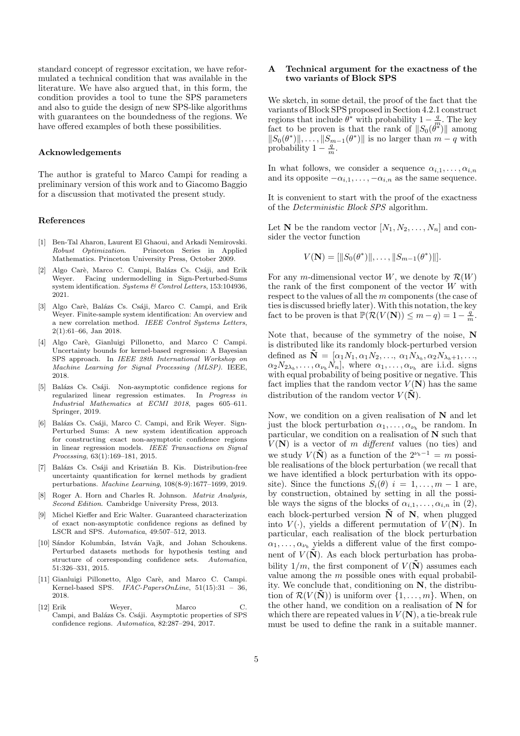standard concept of regressor excitation, we have reformulated a technical condition that was available in the literature. We have also argued that, in this form, the condition provides a tool to tune the SPS parameters and also to guide the design of new SPS-like algorithms with guarantees on the boundedness of the regions. We have offered examples of both these possibilities.

#### Acknowledgements

The author is grateful to Marco Campi for reading a preliminary version of this work and to Giacomo Baggio for a discussion that motivated the present study.

#### References

- [1] Ben-Tal Aharon, Laurent El Ghaoui, and Arkadi Nemirovski. Robust Optimization. Princeton Series in Applied Mathematics. Princeton University Press, October 2009.
- [2] Algo Carè, Marco C. Campi, Balázs Cs. Csáji, and Erik Weyer. Facing undermodelling in Sign-Perturbed-Sums system identification. Systems & Control Letters, 153:104936, 2021.
- [3] Algo Carè, Balázs Cs. Csáji, Marco C. Campi, and Erik Weyer. Finite-sample system identification: An overview and a new correlation method. IEEE Control Systems Letters, 2(1):61–66, Jan 2018.
- [4] Algo Carè, Gianluigi Pillonetto, and Marco C Campi. Uncertainty bounds for kernel-based regression: A Bayesian SPS approach. In IEEE 28th International Workshop on Machine Learning for Signal Processing (MLSP). IEEE, 2018.
- [5] Balázs Cs. Csáji. Non-asymptotic confidence regions for regularized linear regression estimates. In Progress in Industrial Mathematics at ECMI 2018, pages 605–611. Springer, 2019.
- [6] Balázs Cs. Csáji, Marco C. Campi, and Erik Weyer. Sign-Perturbed Sums: A new system identification approach for constructing exact non-asymptotic confidence regions in linear regression models. IEEE Transactions on Signal Processing, 63(1):169–181, 2015.
- [7] Balázs Cs. Csáji and Krisztián B. Kis. Distribution-free uncertainty quantification for kernel methods by gradient perturbations. Machine Learning, 108(8-9):1677–1699, 2019.
- [8] Roger A. Horn and Charles R. Johnson. Matrix Analysis, Second Edition. Cambridge University Press, 2013.
- [9] Michel Kieffer and Eric Walter. Guaranteed characterization of exact non-asymptotic confidence regions as defined by LSCR and SPS. Automatica, 49:507–512, 2013.
- [10] Sándor Kolumbán, István Vajk, and Johan Schoukens. Perturbed datasets methods for hypothesis testing and structure of corresponding confidence sets. Automatica, 51:326–331, 2015.
- [11] Gianluigi Pillonetto, Algo Carè, and Marco C. Campi. Kernel-based SPS. IFAC-PapersOnLine, 51(15):31 – 36, 2018.
- [12] Erik Weyer, Marco C. Campi, and Balázs Cs. Csáji. Asymptotic properties of SPS confidence regions. Automatica, 82:287–294, 2017.

# A Technical argument for the exactness of the two variants of Block SPS

We sketch, in some detail, the proof of the fact that the variants of Block SPS proposed in Section 4.2.1 construct regions that include  $\theta^*$  with probability  $1 - \frac{q}{m}$ . The key fact to be proven is that the rank of  $||S_0(\theta^*)||$  among  $||S_0(\theta^*)||, \ldots, ||S_{m-1}(\theta^*)||$  is no larger than  $m - q$  with probability  $1 - \frac{q}{m}$ .

In what follows, we consider a sequence  $\alpha_{i,1}, \ldots, \alpha_{i,n}$ and its opposite  $-\alpha_{i,1}, \ldots, -\alpha_{i,n}$  as the same sequence.

It is convenient to start with the proof of the exactness of the Deterministic Block SPS algorithm.

Let **N** be the random vector  $[N_1, N_2, \ldots, N_n]$  and consider the vector function

$$
V(\mathbf{N}) = [\|S_0(\theta^*)\|, \ldots, \|S_{m-1}(\theta^*)\|].
$$

For any m-dimensional vector W, we denote by  $\mathcal{R}(W)$ the rank of the first component of the vector W with respect to the values of all the m components (the case of ties is discussed briefly later). With this notation, the key fact to be proven is that  $\mathbb{P}(\mathcal{R}(V(N)) \leq m-q) = 1 - \frac{q}{m}$ .

Note that, because of the symmetry of the noise, N is distributed like its randomly block-perturbed version defined as  $\tilde{\mathbf{N}} = [\alpha_1 N_1, \alpha_1 N_2, \dots, \alpha_1 N_{\lambda_b}, \alpha_2 N_{\lambda_b+1}, \dots,$  $\alpha_2 N_{2\lambda_b}, \ldots, \alpha_{\nu_b} N_n$ , where  $\alpha_1, \ldots, \alpha_{\nu_b}$  are i.i.d. signs with equal probability of being positive or negative. This fact implies that the random vector  $V(\mathbf{N})$  has the same distribution of the random vector  $V(\tilde{N})$ .

Now, we condition on a given realisation of N and let just the block perturbation  $\alpha_1, \ldots, \alpha_{\nu_b}$  be random. In particular, we condition on a realisation of N such that  $V(N)$  is a vector of m different values (no ties) and we study  $V(\tilde{\mathbf{N}})$  as a function of the  $2^{\nu_b-1} = m$  possible realisations of the block perturbation (we recall that we have identified a block perturbation with its opposite). Since the functions  $S_i(\theta)$   $i = 1, \ldots, m-1$  are, by construction, obtained by setting in all the possible ways the signs of the blocks of  $\alpha_{i,1}, \ldots, \alpha_{i,n}$  in (2), each block-perturbed version  $\tilde{N}$  of N, when plugged into  $V(\cdot)$ , yields a different permutation of  $V(N)$ . In particular, each realisation of the block perturbation  $\alpha_1, \ldots, \alpha_{\nu_b}$  yields a different value of the first component of  $V(\tilde{N})$ . As each block perturbation has probability  $1/m$ , the first component of  $V(\mathbf{N})$  assumes each value among the  $m$  possible ones with equal probability. We conclude that, conditioning on N, the distribution of  $\mathcal{R}(V(\tilde{\mathbf{N}}))$  is uniform over  $\{1,\ldots,m\}$ . When, on the other hand, we condition on a realisation of  $N$  for which there are repeated values in  $V(N)$ , a tie-break rule must be used to define the rank in a suitable manner.